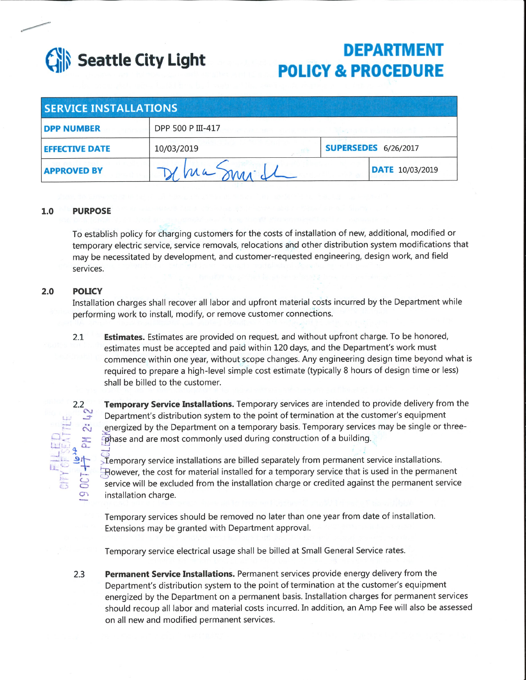

# **DEPARTMENT POLICY & PROCEDURE**

| <b>SERVICE INSTALLATIONS</b> |                   |  |                             |  |
|------------------------------|-------------------|--|-----------------------------|--|
| <b>DPP NUMBER</b>            | DPP 500 P III-417 |  |                             |  |
| <b>EFFECTIVE DATE</b>        | 10/03/2019        |  | <b>SUPERSEDES</b> 6/26/2017 |  |
| <b>APPROVED BY</b>           | Ma                |  | <b>DATE</b> 10/03/2019      |  |

#### $1.0$ **PURPOSE**

To establish policy for charging customers for the costs of installation of new, additional, modified or temporary electric service, service removals, relocations and other distribution system modifications that may be necessitated by development, and customer-requested engineering, design work, and field services.

#### $2.0$ **POLICY**

Installation charges shall recover all labor and upfront material costs incurred by the Department while performing work to install, modify, or remove customer connections.

**Estimates.** Estimates are provided on request, and without upfront charge. To be honored,  $2.1$ estimates must be accepted and paid within 120 days, and the Department's work must commence within one year, without scope changes. Any engineering design time beyond what is required to prepare a high-level simple cost estimate (typically 8 hours of design time or less) shall be billed to the customer.

**Temporary Service Installations.** Temporary services are intended to provide delivery from the Department's distribution system to the point of termination at the customer's equipment energized by the Department on a temporary basis. Temporary services may be single or threephase and are most commonly used during construction of a building.

Temporary service installations are billed separately from permanent service installations. However, the cost for material installed for a temporary service that is used in the permanent service will be excluded from the installation charge or credited against the permanent service installation charge.

Temporary services should be removed no later than one year from date of installation. Extensions may be granted with Department approval.

Temporary service electrical usage shall be billed at Small General Service rates.

Permanent Service Installations. Permanent services provide energy delivery from the  $2.3$ Department's distribution system to the point of termination at the customer's equipment energized by the Department on a permanent basis. Installation charges for permanent services should recoup all labor and material costs incurred. In addition, an Amp Fee will also be assessed on all new and modified permanent services.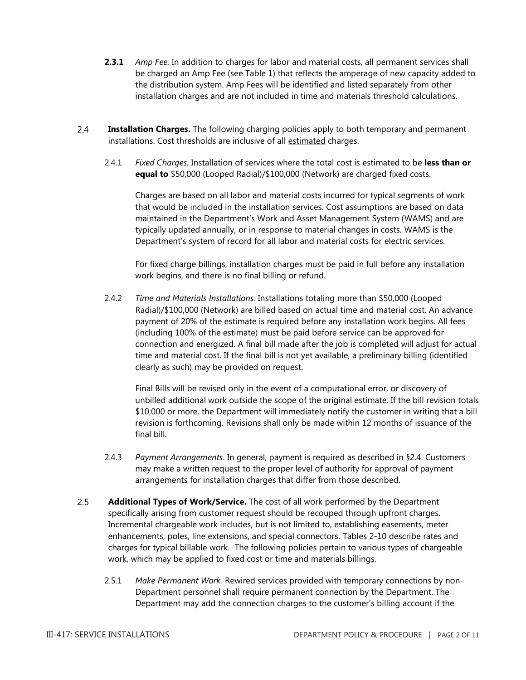- **2.3.1** *Amp Fee.* In addition to charges for labor and material costs, all permanent services shall be charged an Amp Fee (see Table 1) that reflects the amperage of new capacity added to the distribution system. Amp Fees will be identified and listed separately from other installation charges and are not included in time and materials threshold calculations.
- $2.4$ **Installation Charges.** The following charging policies apply to both temporary and permanent installations. Cost thresholds are inclusive of all estimated charges.
	- 2.4.1 *Fixed Charges.* Installation of services where the total cost is estimated to be **less than or equal to** \$50,000 (Looped Radial)/\$100,000 (Network) are charged fixed costs.

Charges are based on all labor and material costs incurred for typical segments of work that would be included in the installation services. Cost assumptions are based on data maintained in the Department's Work and Asset Management System (WAMS) and are typically updated annually, or in response to material changes in costs. WAMS is the Department's system of record for all labor and material costs for electric services.

For fixed charge billings, installation charges must be paid in full before any installation work begins, and there is no final billing or refund.

2.4.2 *Time and Materials Installations.* Installations totaling more than \$50,000 (Looped Radial)/\$100,000 (Network) are billed based on actual time and material cost. An advance payment of 20% of the estimate is required before any installation work begins. All fees (including 100% of the estimate) must be paid before service can be approved for connection and energized. A final bill made after the job is completed will adjust for actual time and material cost. If the final bill is not yet available, a preliminary billing (identified clearly as such) may be provided on request.

Final Bills will be revised only in the event of a computational error, or discovery of unbilled additional work outside the scope of the original estimate. If the bill revision totals \$10,000 or more, the Department will immediately notify the customer in writing that a bill revision is forthcoming. Revisions shall only be made within 12 months of issuance of the final bill.

- 2.4.3 *Payment Arrangements*. In general, payment is required as described in §2.4. Customers may make a written request to the proper level of authority for approval of payment arrangements for installation charges that differ from those described.
- $2.5$ **Additional Types of Work/Service.** The cost of all work performed by the Department specifically arising from customer request should be recouped through upfront charges. Incremental chargeable work includes, but is not limited to, establishing easements, meter enhancements, poles, line extensions, and special connectors. Tables 2-10 describe rates and charges for typical billable work. The following policies pertain to various types of chargeable work, which may be applied to fixed cost or time and materials billings.
	- 2.5.1 *Make Permanent Work.* Rewired services provided with temporary connections by non-Department personnel shall require permanent connection by the Department. The Department may add the connection charges to the customer's billing account if the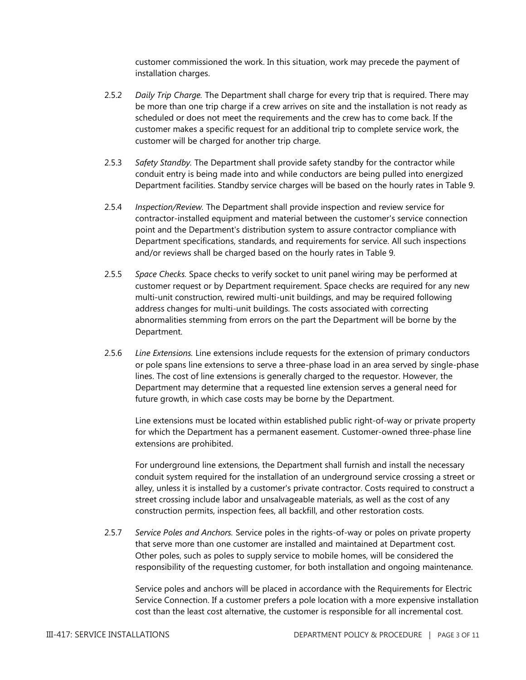customer commissioned the work. In this situation, work may precede the payment of installation charges.

- 2.5.2 *Daily Trip Charge.* The Department shall charge for every trip that is required. There may be more than one trip charge if a crew arrives on site and the installation is not ready as scheduled or does not meet the requirements and the crew has to come back. If the customer makes a specific request for an additional trip to complete service work, the customer will be charged for another trip charge.
- 2.5.3 *Safety Standby.* The Department shall provide safety standby for the contractor while conduit entry is being made into and while conductors are being pulled into energized Department facilities. Standby service charges will be based on the hourly rates in Table 9.
- 2.5.4 *Inspection/Review.* The Department shall provide inspection and review service for contractor-installed equipment and material between the customer's service connection point and the Department's distribution system to assure contractor compliance with Department specifications, standards, and requirements for service. All such inspections and/or reviews shall be charged based on the hourly rates in Table 9.
- 2.5.5 *Space Checks.* Space checks to verify socket to unit panel wiring may be performed at customer request or by Department requirement. Space checks are required for any new multi-unit construction, rewired multi-unit buildings, and may be required following address changes for multi-unit buildings. The costs associated with correcting abnormalities stemming from errors on the part the Department will be borne by the Department.
- 2.5.6 *Line Extensions.* Line extensions include requests for the extension of primary conductors or pole spans line extensions to serve a three-phase load in an area served by single-phase lines. The cost of line extensions is generally charged to the requestor. However, the Department may determine that a requested line extension serves a general need for future growth, in which case costs may be borne by the Department.

Line extensions must be located within established public right-of-way or private property for which the Department has a permanent easement. Customer-owned three-phase line extensions are prohibited.

For underground line extensions, the Department shall furnish and install the necessary conduit system required for the installation of an underground service crossing a street or alley, unless it is installed by a customer's private contractor. Costs required to construct a street crossing include labor and unsalvageable materials, as well as the cost of any construction permits, inspection fees, all backfill, and other restoration costs.

2.5.7 *Service Poles and Anchors.* Service poles in the rights-of-way or poles on private property that serve more than one customer are installed and maintained at Department cost. Other poles, such as poles to supply service to mobile homes, will be considered the responsibility of the requesting customer, for both installation and ongoing maintenance.

Service poles and anchors will be placed in accordance with the Requirements for Electric Service Connection. If a customer prefers a pole location with a more expensive installation cost than the least cost alternative, the customer is responsible for all incremental cost.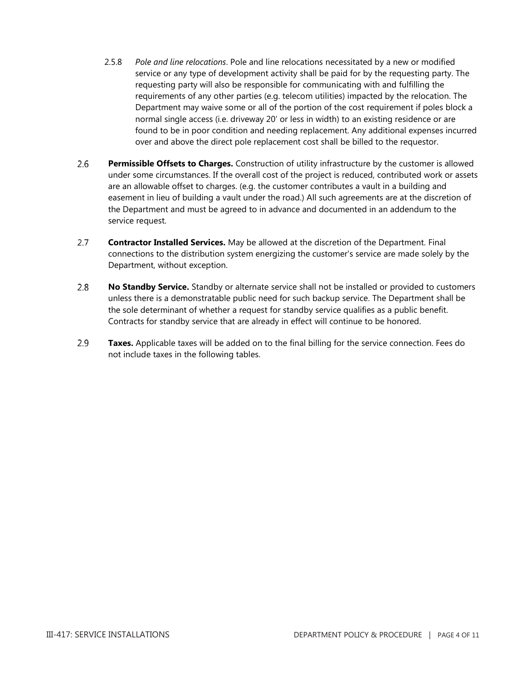- 2.5.8 *Pole and line relocations*. Pole and line relocations necessitated by a new or modified service or any type of development activity shall be paid for by the requesting party. The requesting party will also be responsible for communicating with and fulfilling the requirements of any other parties (e.g. telecom utilities) impacted by the relocation. The Department may waive some or all of the portion of the cost requirement if poles block a normal single access (i.e. driveway 20' or less in width) to an existing residence or are found to be in poor condition and needing replacement. Any additional expenses incurred over and above the direct pole replacement cost shall be billed to the requestor.
- $2.6$ **Permissible Offsets to Charges.** Construction of utility infrastructure by the customer is allowed under some circumstances. If the overall cost of the project is reduced, contributed work or assets are an allowable offset to charges. (e.g. the customer contributes a vault in a building and easement in lieu of building a vault under the road.) All such agreements are at the discretion of the Department and must be agreed to in advance and documented in an addendum to the service request.
- $2.7^{\circ}$ **Contractor Installed Services.** May be allowed at the discretion of the Department. Final connections to the distribution system energizing the customer's service are made solely by the Department, without exception.
- $2.8$ **No Standby Service.** Standby or alternate service shall not be installed or provided to customers unless there is a demonstratable public need for such backup service. The Department shall be the sole determinant of whether a request for standby service qualifies as a public benefit. Contracts for standby service that are already in effect will continue to be honored.
- 2.9 **Taxes.** Applicable taxes will be added on to the final billing for the service connection. Fees do not include taxes in the following tables.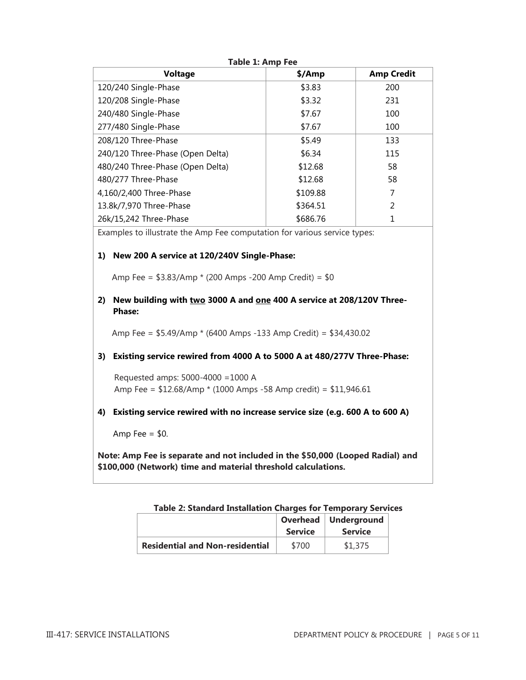| Voltage                                                                   | \$/Amp   | <b>Amp Credit</b> |  |  |  |
|---------------------------------------------------------------------------|----------|-------------------|--|--|--|
| 120/240 Single-Phase                                                      | \$3.83   | 200               |  |  |  |
| 120/208 Single-Phase                                                      | \$3.32   | 231               |  |  |  |
| 240/480 Single-Phase                                                      | \$7.67   | 100               |  |  |  |
| 277/480 Single-Phase                                                      | \$7.67   | 100               |  |  |  |
| 208/120 Three-Phase                                                       | \$5.49   | 133               |  |  |  |
| 240/120 Three-Phase (Open Delta)                                          | \$6.34   | 115               |  |  |  |
| 480/240 Three-Phase (Open Delta)                                          | \$12.68  | 58                |  |  |  |
| 480/277 Three-Phase                                                       | \$12.68  | 58                |  |  |  |
| 4,160/2,400 Three-Phase                                                   | \$109.88 | 7                 |  |  |  |
| 13.8k/7,970 Three-Phase                                                   | \$364.51 | 2                 |  |  |  |
| 26k/15,242 Three-Phase                                                    | \$686.76 | 1                 |  |  |  |
| Examples to illustrate the Amp Fee computation for various service types: |          |                   |  |  |  |

**Table 1: Amp Fee**

**1) New 200 A service at 120/240V Single-Phase:**

Amp Fee = \$3.83/Amp \* (200 Amps -200 Amp Credit) = \$0

**2) New building with two 3000 A and one 400 A service at 208/120V Three-Phase:**

Amp Fee = \$5.49/Amp \* (6400 Amps -133 Amp Credit) = \$34,430.02

**3) Existing service rewired from 4000 A to 5000 A at 480/277V Three-Phase:**

 Requested amps: 5000-4000 =1000 A Amp Fee = \$12.68/Amp \* (1000 Amps -58 Amp credit) = \$11,946.61

**4) Existing service rewired with no increase service size (e.g. 600 A to 600 A)**

Amp Fee  $=$  \$0.

**Note: Amp Fee is separate and not included in the \$50,000 (Looped Radial) and \$100,000 (Network) time and material threshold calculations.**

| Table 2: Standard Installation Charges for Temporary Services |  |  |
|---------------------------------------------------------------|--|--|
|---------------------------------------------------------------|--|--|

|                                        | <b>Service</b> | Overhead   Underground<br><b>Service</b> |
|----------------------------------------|----------------|------------------------------------------|
| <b>Residential and Non-residential</b> | \$700          | \$1,375                                  |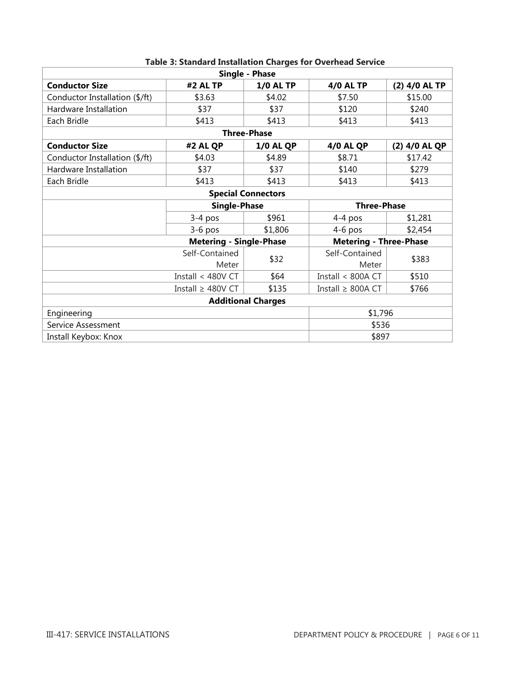| Single - Phase                 |                                |                           |                               |               |  |  |
|--------------------------------|--------------------------------|---------------------------|-------------------------------|---------------|--|--|
| <b>Conductor Size</b>          | #2 AL TP                       | <b>1/0 AL TP</b>          | <b>4/0 AL TP</b>              | (2) 4/0 AL TP |  |  |
| Conductor Installation (\$/ft) | \$3.63                         | \$4.02                    | \$7.50                        | \$15.00       |  |  |
| Hardware Installation          | \$37                           | \$37                      | \$120                         | \$240         |  |  |
| Each Bridle                    | \$413                          | \$413                     | \$413                         | \$413         |  |  |
|                                |                                | <b>Three-Phase</b>        |                               |               |  |  |
| <b>Conductor Size</b>          | #2 AL QP                       | <b>1/0 AL QP</b>          | <b>4/0 AL QP</b>              | (2) 4/0 AL QP |  |  |
| Conductor Installation (\$/ft) | \$4.03                         | \$4.89                    | \$8.71                        | \$17.42       |  |  |
| Hardware Installation          | \$37                           | \$37                      | \$140                         | \$279         |  |  |
| Each Bridle                    | \$413                          | \$413                     | \$413                         | \$413         |  |  |
|                                |                                | <b>Special Connectors</b> |                               |               |  |  |
| <b>Single-Phase</b>            |                                |                           | <b>Three-Phase</b>            |               |  |  |
|                                | $3-4$ pos                      | \$961                     | $4-4$ pos                     | \$1,281       |  |  |
|                                | $3-6$ pos                      | \$1,806                   | $4-6$ pos                     | \$2,454       |  |  |
|                                | <b>Metering - Single-Phase</b> |                           | <b>Metering - Three-Phase</b> |               |  |  |
|                                | Self-Contained<br>Meter        | \$383                     |                               |               |  |  |
|                                | Install < 480V CT              | \$64                      | Install < 800A CT             | \$510         |  |  |
|                                | Install $\geq 800A$ CT         | \$766                     |                               |               |  |  |
| <b>Additional Charges</b>      |                                |                           |                               |               |  |  |
| Engineering                    | \$1,796                        |                           |                               |               |  |  |
| Service Assessment             | \$536                          |                           |                               |               |  |  |
| Install Keybox: Knox           | \$897                          |                           |                               |               |  |  |

# **Table 3: Standard Installation Charges for Overhead Service**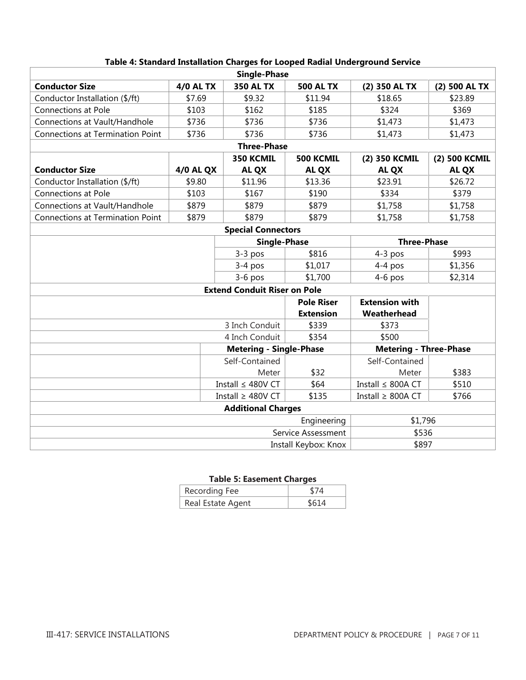| <b>Single-Phase</b>                       |                        |                                     |                    |                               |               |
|-------------------------------------------|------------------------|-------------------------------------|--------------------|-------------------------------|---------------|
| <b>Conductor Size</b>                     | <b>4/0 AL TX</b>       | <b>350 AL TX</b>                    | <b>500 AL TX</b>   | (2) 350 AL TX                 | (2) 500 AL TX |
| Conductor Installation (\$/ft)            | \$7.69                 | \$9.32                              | \$11.94            | \$18.65                       | \$23.89       |
| <b>Connections at Pole</b>                | \$103                  | \$162                               | \$185              | \$324                         | \$369         |
| Connections at Vault/Handhole             | \$736                  | \$736                               | \$736              | \$1,473                       | \$1,473       |
| <b>Connections at Termination Point</b>   | \$736                  | \$736                               | \$736              | \$1,473                       | \$1,473       |
|                                           |                        | <b>Three-Phase</b>                  |                    |                               |               |
|                                           |                        | 350 KCMIL                           | <b>500 KCMIL</b>   | (2) 350 KCMIL                 | (2) 500 KCMIL |
| <b>Conductor Size</b>                     | <b>4/0 AL QX</b>       | <b>AL QX</b>                        | <b>AL QX</b>       | <b>AL QX</b>                  | <b>AL QX</b>  |
| Conductor Installation (\$/ft)            | \$9.80                 | \$11.96                             | \$13.36            | \$23.91                       | \$26.72       |
| <b>Connections at Pole</b>                | \$103                  | \$167                               | \$190              | \$334                         | \$379         |
| Connections at Vault/Handhole             | \$879                  | \$879                               | \$879              | \$1,758                       | \$1,758       |
| <b>Connections at Termination Point</b>   | \$879                  | \$879                               | \$879              | \$1,758                       | \$1,758       |
|                                           |                        | <b>Special Connectors</b>           |                    |                               |               |
| <b>Single-Phase</b><br><b>Three-Phase</b> |                        |                                     |                    |                               |               |
|                                           |                        | $3-3$ pos                           | \$816              | $4-3$ pos                     | \$993         |
|                                           |                        | $3-4$ pos                           | \$1,017            | $4-4$ pos                     | \$1,356       |
|                                           |                        | $3-6$ pos                           | \$1,700            | $4-6$ pos                     | \$2,314       |
|                                           |                        | <b>Extend Conduit Riser on Pole</b> |                    |                               |               |
|                                           |                        |                                     | <b>Pole Riser</b>  | <b>Extension with</b>         |               |
|                                           |                        |                                     | <b>Extension</b>   | Weatherhead                   |               |
|                                           |                        | 3 Inch Conduit                      | \$339              | \$373                         |               |
|                                           |                        | 4 Inch Conduit                      | \$354              | \$500                         |               |
|                                           |                        | <b>Metering - Single-Phase</b>      |                    | <b>Metering - Three-Phase</b> |               |
|                                           |                        | Self-Contained                      |                    | Self-Contained                |               |
|                                           |                        | Meter                               | \$32               | Meter                         | \$383         |
|                                           |                        | Install $\leq$ 480V CT              | \$64               | Install ≤ 800A CT             | \$510         |
| Install $\geq$ 480V CT                    |                        |                                     | \$135              | Install $\geq 800A$ CT        | \$766         |
| <b>Additional Charges</b>                 |                        |                                     |                    |                               |               |
|                                           | Engineering<br>\$1,796 |                                     |                    |                               |               |
|                                           |                        |                                     | Service Assessment | \$536                         |               |
| \$897<br>Install Keybox: Knox             |                        |                                     |                    |                               |               |

#### **Table 4: Standard Installation Charges for Looped Radial Underground Service**

## **Table 5: Easement Charges**

| Recording Fee     | \$74  |
|-------------------|-------|
| Real Estate Agent | \$614 |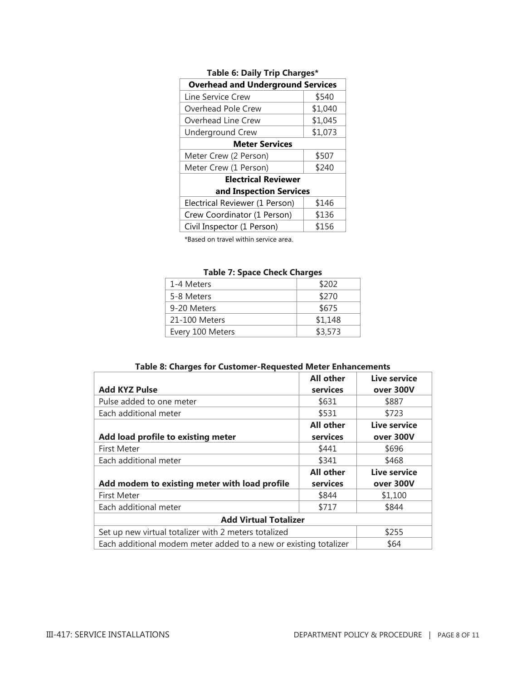| <b>Overhead and Underground Services</b> |         |  |  |  |
|------------------------------------------|---------|--|--|--|
| Line Service Crew                        | \$540   |  |  |  |
| Overhead Pole Crew                       | \$1,040 |  |  |  |
| Overhead Line Crew                       | \$1,045 |  |  |  |
| <b>Underground Crew</b>                  | \$1,073 |  |  |  |
| <b>Meter Services</b>                    |         |  |  |  |
| Meter Crew (2 Person)                    | \$507   |  |  |  |
| Meter Crew (1 Person)                    | \$240   |  |  |  |
| <b>Electrical Reviewer</b>               |         |  |  |  |
| and Inspection Services                  |         |  |  |  |
| Electrical Reviewer (1 Person)           | \$146   |  |  |  |
| Crew Coordinator (1 Person)              | \$136   |  |  |  |
| Civil Inspector (1 Person)               | \$156   |  |  |  |

#### **Table 6: Daily Trip Charges\***

\*Based on travel within service area.

|  |  | <b>Table 7: Space Check Charges</b> |
|--|--|-------------------------------------|
|  |  |                                     |

| 1-4 Meters       | \$202   |
|------------------|---------|
| 5-8 Meters       | \$270   |
| 9-20 Meters      | \$675   |
| 21-100 Meters    | \$1,148 |
| Every 100 Meters | \$3,573 |

|  | Table 8: Charges for Customer-Requested Meter Enhancements |  |  |
|--|------------------------------------------------------------|--|--|
|--|------------------------------------------------------------|--|--|

|                                                                  | <b>All other</b> | Live service |
|------------------------------------------------------------------|------------------|--------------|
| <b>Add KYZ Pulse</b>                                             | services         | over 300V    |
| Pulse added to one meter                                         | \$631            | \$887        |
| Each additional meter                                            | \$531            | \$723        |
|                                                                  | <b>All other</b> | Live service |
| Add load profile to existing meter                               | services         | over 300V    |
| <b>First Meter</b>                                               | \$441            | \$696        |
| Each additional meter                                            | \$341            | \$468        |
|                                                                  | <b>All other</b> | Live service |
| Add modem to existing meter with load profile                    | services         | over 300V    |
| <b>First Meter</b>                                               | \$844            | \$1,100      |
| Each additional meter                                            | \$717            | \$844        |
| <b>Add Virtual Totalizer</b>                                     |                  |              |
| Set up new virtual totalizer with 2 meters totalized             | \$255            |              |
| Each additional modem meter added to a new or existing totalizer | \$64             |              |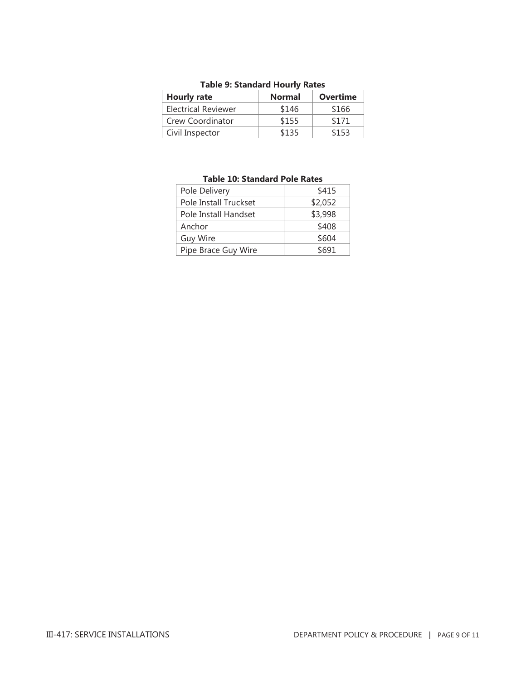| Table 9. Stalludiu Hourly Rates |               |                 |
|---------------------------------|---------------|-----------------|
| <b>Hourly rate</b>              | <b>Normal</b> | <b>Overtime</b> |
| <b>Electrical Reviewer</b>      | \$146         | \$166           |
| Crew Coordinator                | \$155         | \$171           |
| Civil Inspector                 | \$135         | \$153           |

## **Table 9: Standard Hourly Rates**

| Pole Delivery         | \$415   |
|-----------------------|---------|
| Pole Install Truckset | \$2,052 |
| Pole Install Handset  | \$3,998 |
| Anchor                | \$408   |
| <b>Guy Wire</b>       | \$604   |
| Pipe Brace Guy Wire   | \$691   |
|                       |         |

#### **Table 10: Standard Pole Rates**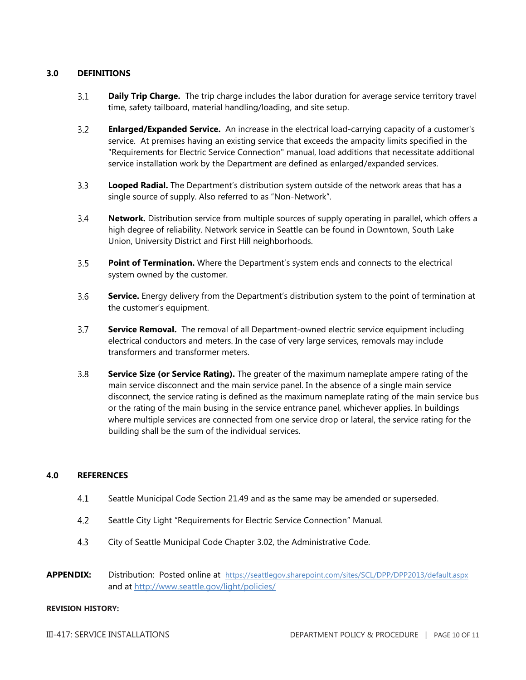#### **3.0 DEFINITIONS**

- $3.1$ **Daily Trip Charge.** The trip charge includes the labor duration for average service territory travel time, safety tailboard, material handling/loading, and site setup.
- $3.2$ **Enlarged/Expanded Service.** An increase in the electrical load-carrying capacity of a customer's service. At premises having an existing service that exceeds the ampacity limits specified in the "Requirements for Electric Service Connection" manual, load additions that necessitate additional service installation work by the Department are defined as enlarged/expanded services.
- $3.3$ **Looped Radial.** The Department's distribution system outside of the network areas that has a single source of supply. Also referred to as "Non-Network".
- $3.4$ **Network.** Distribution service from multiple sources of supply operating in parallel, which offers a high degree of reliability. Network service in Seattle can be found in Downtown, South Lake Union, University District and First Hill neighborhoods.
- $3.5^{\circ}$ **Point of Termination.** Where the Department's system ends and connects to the electrical system owned by the customer.
- $3.6$ **Service.** Energy delivery from the Department's distribution system to the point of termination at the customer's equipment.
- $3.7<sup>2</sup>$ **Service Removal.** The removal of all Department-owned electric service equipment including electrical conductors and meters. In the case of very large services, removals may include transformers and transformer meters.
- $3.8<sup>2</sup>$ **Service Size (or Service Rating).** The greater of the maximum nameplate ampere rating of the main service disconnect and the main service panel. In the absence of a single main service disconnect, the service rating is defined as the maximum nameplate rating of the main service bus or the rating of the main busing in the service entrance panel, whichever applies. In buildings where multiple services are connected from one service drop or lateral, the service rating for the building shall be the sum of the individual services.

#### **4.0 REFERENCES**

- $4.1$ Seattle Municipal Code Section 21.49 and as the same may be amended or superseded.
- $4.2$ Seattle City Light "Requirements for Electric Service Connection" Manual.
- 4.3 City of Seattle Municipal Code Chapter 3.02, the Administrative Code.
- **APPENDIX:** Distribution: Posted online at <https://seattlegov.sharepoint.com/sites/SCL/DPP/DPP2013/default.aspx> and at<http://www.seattle.gov/light/policies/>

#### **REVISION HISTORY:**